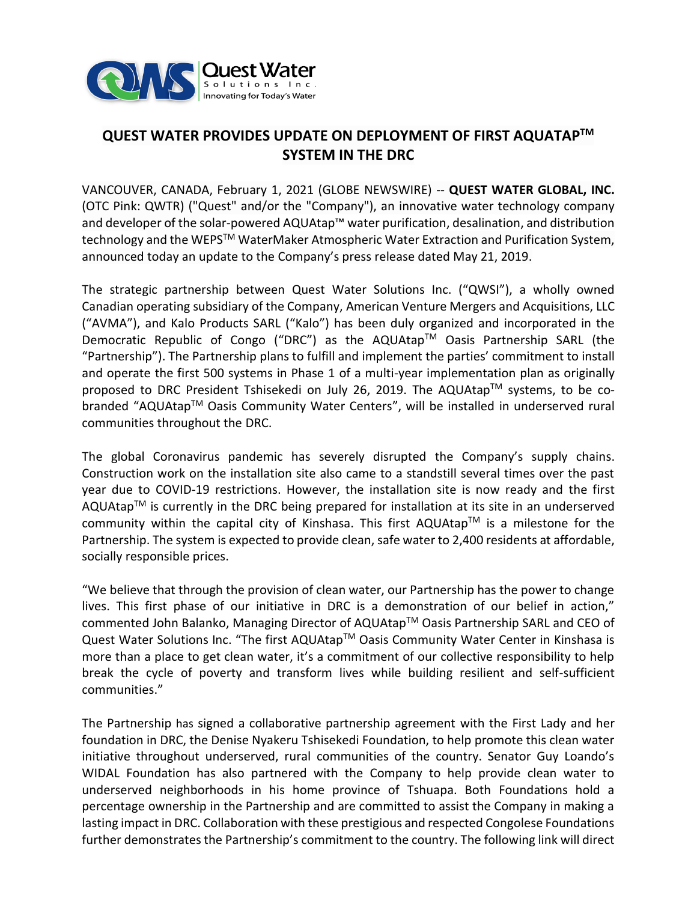

# **QUEST WATER PROVIDES UPDATE ON DEPLOYMENT OF FIRST AQUATAPTM SYSTEM IN THE DRC**

VANCOUVER, CANADA, February 1, 2021 (GLOBE NEWSWIRE) -- **QUEST WATER GLOBAL, INC.** (OTC Pink: QWTR) ("Quest" and/or the "Company"), an innovative water technology company and developer of the solar-powered AQUAtap™ water purification, desalination, and distribution technology and the WEPS™ WaterMaker Atmospheric Water Extraction and Purification System, announced today an update to the Company's press release dated May 21, 2019.

The strategic partnership between Quest Water Solutions Inc. ("QWSI"), a wholly owned Canadian operating subsidiary of the Company, American Venture Mergers and Acquisitions, LLC ("AVMA"), and Kalo Products SARL ("Kalo") has been duly organized and incorporated in the Democratic Republic of Congo ("DRC") as the AQUAtap™ Oasis Partnership SARL (the "Partnership"). The Partnership plans to fulfill and implement the parties' commitment to install and operate the first 500 systems in Phase 1 of a multi-year implementation plan as originally proposed to DRC President Tshisekedi on July 26, 2019. The AQUAtap™ systems, to be cobranded "AQUAtap™ Oasis Community Water Centers", will be installed in underserved rural communities throughout the DRC.

The global Coronavirus pandemic has severely disrupted the Company's supply chains. Construction work on the installation site also came to a standstill several times over the past year due to COVID-19 restrictions. However, the installation site is now ready and the first AQUAtap<sup>TM</sup> is currently in the DRC being prepared for installation at its site in an underserved community within the capital city of Kinshasa. This first AQUAtap<sup>TM</sup> is a milestone for the Partnership. The system is expected to provide clean, safe water to 2,400 residents at affordable, socially responsible prices.

"We believe that through the provision of clean water, our Partnership has the power to change lives. This first phase of our initiative in DRC is a demonstration of our belief in action," commented John Balanko, Managing Director of AQUAtap™ Oasis Partnership SARL and CEO of Quest Water Solutions Inc. "The first AQUAtap™ Oasis Community Water Center in Kinshasa is more than a place to get clean water, it's a commitment of our collective responsibility to help break the cycle of poverty and transform lives while building resilient and self-sufficient communities."

The Partnership has signed a collaborative partnership agreement with the First Lady and her foundation in DRC, the Denise Nyakeru Tshisekedi Foundation, to help promote this clean water initiative throughout underserved, rural communities of the country. Senator Guy Loando's WIDAL Foundation has also partnered with the Company to help provide clean water to underserved neighborhoods in his home province of Tshuapa. Both Foundations hold a percentage ownership in the Partnership and are committed to assist the Company in making a lasting impact in DRC. Collaboration with these prestigious and respected Congolese Foundations further demonstrates the Partnership's commitment to the country. The following link will direct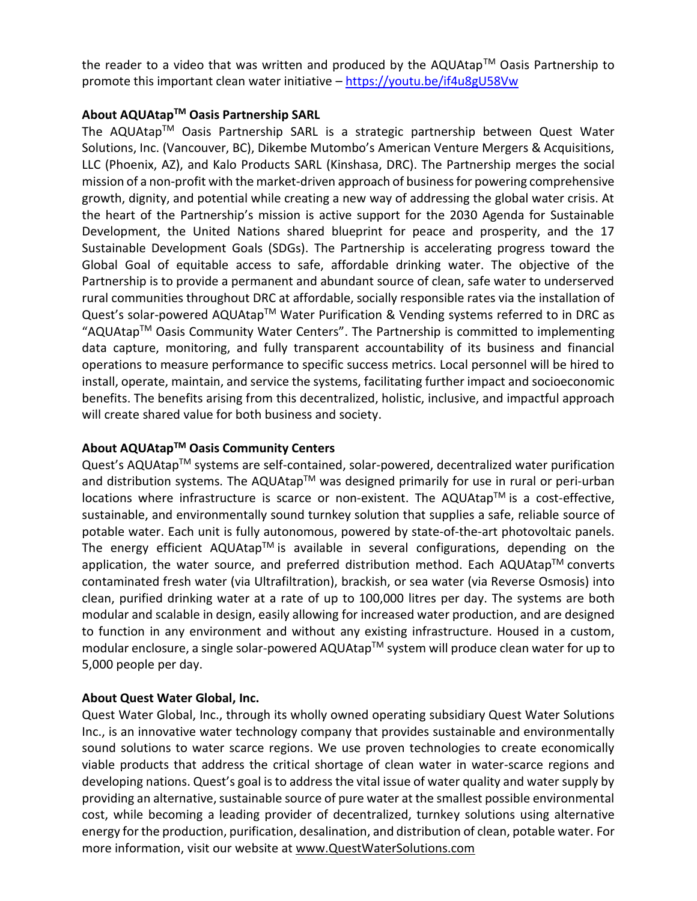the reader to a video that was written and produced by the AQUAtap™ Oasis Partnership to promote this important clean water initiative – <https://youtu.be/if4u8gU58Vw>

## **About AQUAtap TM Oasis Partnership SARL**

The AQUAtap™ Oasis Partnership SARL is a strategic partnership between Quest Water Solutions, Inc. (Vancouver, BC), Dikembe Mutombo's American Venture Mergers & Acquisitions, LLC (Phoenix, AZ), and Kalo Products SARL (Kinshasa, DRC). The Partnership merges the social mission of a non-profit with the market-driven approach of business for powering comprehensive growth, dignity, and potential while creating a new way of addressing the global water crisis. At the heart of the Partnership's mission is active support for the 2030 Agenda for Sustainable Development, the United Nations shared blueprint for peace and prosperity, and the 17 Sustainable Development Goals (SDGs). The Partnership is accelerating progress toward the Global Goal of equitable access to safe, affordable drinking water. The objective of the Partnership is to provide a permanent and abundant source of clean, safe water to underserved rural communities throughout DRC at affordable, socially responsible rates via the installation of Quest's solar-powered AQUAtap™ Water Purification & Vending systems referred to in DRC as "AQUAtapTM Oasis Community Water Centers". The Partnership is committed to implementing data capture, monitoring, and fully transparent accountability of its business and financial operations to measure performance to specific success metrics. Local personnel will be hired to install, operate, maintain, and service the systems, facilitating further impact and socioeconomic benefits. The benefits arising from this decentralized, holistic, inclusive, and impactful approach will create shared value for both business and society.

### **About AQUAtapTM Oasis Community Centers**

Quest's AQUAtap<sup>™</sup> systems are self-contained, solar-powered, decentralized water purification and distribution systems. The AQUAtap<sup>TM</sup> was designed primarily for use in rural or peri-urban locations where infrastructure is scarce or non-existent. The AQUAtap™ is a cost-effective, sustainable, and environmentally sound turnkey solution that supplies a safe, reliable source of potable water. Each unit is fully autonomous, powered by state-of-the-art photovoltaic panels. The energy efficient AQUAtap<sup>TM</sup> is available in several configurations, depending on the application, the water source, and preferred distribution method. Each AQUAtap<sup>TM</sup> converts contaminated fresh water (via Ultrafiltration), brackish, or sea water (via Reverse Osmosis) into clean, purified drinking water at a rate of up to 100,000 litres per day. The systems are both modular and scalable in design, easily allowing for increased water production, and are designed to function in any environment and without any existing infrastructure. Housed in a custom, modular enclosure, a single solar-powered AQUAtap™ system will produce clean water for up to 5,000 people per day.

# **About Quest Water Global, Inc.**

Quest Water Global, Inc., through its wholly owned operating subsidiary Quest Water Solutions Inc., is an innovative water technology company that provides sustainable and environmentally sound solutions to water scarce regions. We use proven technologies to create economically viable products that address the critical shortage of clean water in water-scarce regions and developing nations. Quest's goal is to address the vital issue of water quality and water supply by providing an alternative, sustainable source of pure water at the smallest possible environmental cost, while becoming a leading provider of decentralized, turnkey solutions using alternative energy for the production, purification, desalination, and distribution of clean, potable water. For more information, visit our website at [www.QuestWaterSolutions.com](http://www.questwatersolutions.com/)